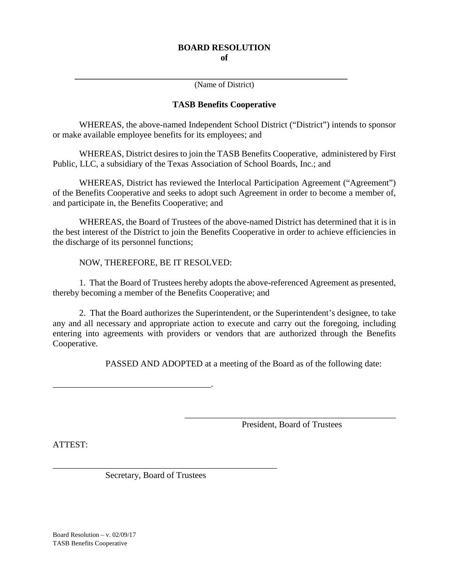**\_\_\_\_\_\_\_\_\_\_\_\_\_\_\_\_\_\_\_\_\_\_\_\_\_\_\_\_\_\_\_\_\_\_\_\_\_\_\_\_\_\_\_\_\_\_\_\_\_\_\_\_\_\_\_\_\_\_\_\_\_\_** (Name of District)

## **TASB Benefits Cooperative**

WHEREAS, the above-named Independent School District ("District") intends to sponsor or make available employee benefits for its employees; and

WHEREAS, District desires to join the TASB Benefits Cooperative, administered by First Public, LLC, a subsidiary of the Texas Association of School Boards, Inc.; and

WHEREAS, District has reviewed the Interlocal Participation Agreement ("Agreement") of the Benefits Cooperative and seeks to adopt such Agreement in order to become a member of, and participate in, the Benefits Cooperative; and

WHEREAS, the Board of Trustees of the above-named District has determined that it is in the best interest of the District to join the Benefits Cooperative in order to achieve efficiencies in the discharge of its personnel functions;

NOW, THEREFORE, BE IT RESOLVED:

1. That the Board of Trustees hereby adopts the above-referenced Agreement as presented, thereby becoming a member of the Benefits Cooperative; and

2. That the Board authorizes the Superintendent, or the Superintendent's designee, to take any and all necessary and appropriate action to execute and carry out the foregoing, including entering into agreements with providers or vendors that are authorized through the Benefits Cooperative.

PASSED AND ADOPTED at a meeting of the Board as of the following date:

\_\_\_\_\_\_\_\_\_\_\_\_\_\_\_\_\_\_\_\_\_\_\_\_\_\_\_\_\_\_\_\_\_\_\_\_.

\_\_\_\_\_\_\_\_\_\_\_\_\_\_\_\_\_\_\_\_\_\_\_\_\_\_\_\_\_\_\_\_\_\_\_\_\_\_\_\_\_\_\_\_\_\_\_\_ President, Board of Trustees

ATTEST:

Secretary, Board of Trustees

\_\_\_\_\_\_\_\_\_\_\_\_\_\_\_\_\_\_\_\_\_\_\_\_\_\_\_\_\_\_\_\_\_\_\_\_\_\_\_\_\_\_\_\_\_\_\_\_\_\_\_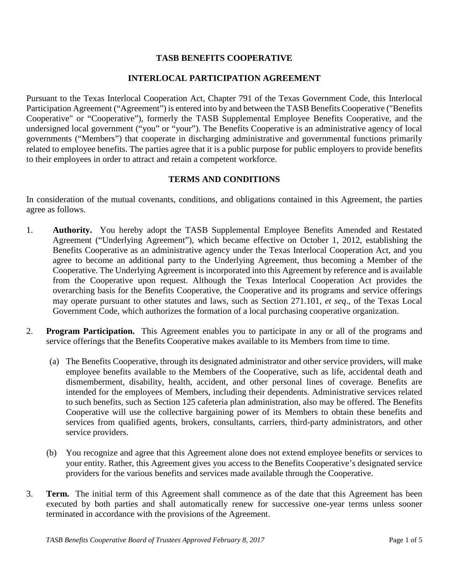# **TASB BENEFITS COOPERATIVE**

## **INTERLOCAL PARTICIPATION AGREEMENT**

Pursuant to the Texas Interlocal Cooperation Act, Chapter 791 of the Texas Government Code, this Interlocal Participation Agreement ("Agreement") is entered into by and between the TASB Benefits Cooperative ("Benefits Cooperative" or "Cooperative"), formerly the TASB Supplemental Employee Benefits Cooperative, and the undersigned local government ("you" or "your"). The Benefits Cooperative is an administrative agency of local governments ("Members") that cooperate in discharging administrative and governmental functions primarily related to employee benefits. The parties agree that it is a public purpose for public employers to provide benefits to their employees in order to attract and retain a competent workforce.

### **TERMS AND CONDITIONS**

In consideration of the mutual covenants, conditions, and obligations contained in this Agreement, the parties agree as follows.

- 1. **Authority.** You hereby adopt the TASB Supplemental Employee Benefits Amended and Restated Agreement ("Underlying Agreement"), which became effective on October 1, 2012, establishing the Benefits Cooperative as an administrative agency under the Texas Interlocal Cooperation Act, and you agree to become an additional party to the Underlying Agreement, thus becoming a Member of the Cooperative. The Underlying Agreement is incorporated into this Agreement by reference and is available from the Cooperative upon request. Although the Texas Interlocal Cooperation Act provides the overarching basis for the Benefits Cooperative, the Cooperative and its programs and service offerings may operate pursuant to other statutes and laws, such as Section 271.101*, et seq*., of the Texas Local Government Code, which authorizes the formation of a local purchasing cooperative organization.
- 2. **Program Participation.** This Agreement enables you to participate in any or all of the programs and service offerings that the Benefits Cooperative makes available to its Members from time to time.
	- (a) The Benefits Cooperative, through its designated administrator and other service providers, will make employee benefits available to the Members of the Cooperative, such as life, accidental death and dismemberment, disability, health, accident, and other personal lines of coverage. Benefits are intended for the employees of Members, including their dependents. Administrative services related to such benefits, such as Section 125 cafeteria plan administration, also may be offered. The Benefits Cooperative will use the collective bargaining power of its Members to obtain these benefits and services from qualified agents, brokers, consultants, carriers, third-party administrators, and other service providers.
	- (b) You recognize and agree that this Agreement alone does not extend employee benefits or services to your entity. Rather, this Agreement gives you access to the Benefits Cooperative's designated service providers for the various benefits and services made available through the Cooperative.
- 3. **Term.** The initial term of this Agreement shall commence as of the date that this Agreement has been executed by both parties and shall automatically renew for successive one-year terms unless sooner terminated in accordance with the provisions of the Agreement.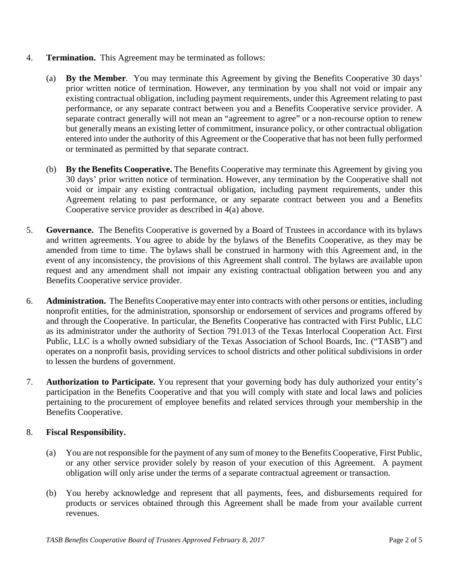- 4. **Termination.** This Agreement may be terminated as follows:
	- (a) **By the Member**. You may terminate this Agreement by giving the Benefits Cooperative 30 days' prior written notice of termination. However, any termination by you shall not void or impair any existing contractual obligation, including payment requirements, under this Agreement relating to past performance, or any separate contract between you and a Benefits Cooperative service provider. A separate contract generally will not mean an "agreement to agree" or a non-recourse option to renew but generally means an existing letter of commitment, insurance policy, or other contractual obligation entered into under the authority of this Agreement or the Cooperative that has not been fully performed or terminated as permitted by that separate contract.
	- (b) **By the Benefits Cooperative.** The Benefits Cooperative may terminate this Agreement by giving you 30 days' prior written notice of termination. However, any termination by the Cooperative shall not void or impair any existing contractual obligation, including payment requirements, under this Agreement relating to past performance, or any separate contract between you and a Benefits Cooperative service provider as described in 4(a) above.
- 5. **Governance.** The Benefits Cooperative is governed by a Board of Trustees in accordance with its bylaws and written agreements. You agree to abide by the bylaws of the Benefits Cooperative, as they may be amended from time to time. The bylaws shall be construed in harmony with this Agreement and, in the event of any inconsistency, the provisions of this Agreement shall control. The bylaws are available upon request and any amendment shall not impair any existing contractual obligation between you and any Benefits Cooperative service provider.
- 6. **Administration.** The Benefits Cooperative may enter into contracts with other persons or entities, including nonprofit entities, for the administration, sponsorship or endorsement of services and programs offered by and through the Cooperative. In particular, the Benefits Cooperative has contracted with First Public, LLC as its administrator under the authority of Section 791.013 of the Texas Interlocal Cooperation Act. First Public, LLC is a wholly owned subsidiary of the Texas Association of School Boards, Inc. ("TASB") and operates on a nonprofit basis, providing services to school districts and other political subdivisions in order to lessen the burdens of government.
- 7. **Authorization to Participate.** You represent that your governing body has duly authorized your entity's participation in the Benefits Cooperative and that you will comply with state and local laws and policies pertaining to the procurement of employee benefits and related services through your membership in the Benefits Cooperative.

# 8. **Fiscal Responsibility.**

- (a) You are not responsible for the payment of any sum of money to the Benefits Cooperative, First Public, or any other service provider solely by reason of your execution of this Agreement. A payment obligation will only arise under the terms of a separate contractual agreement or transaction.
- (b) You hereby acknowledge and represent that all payments, fees, and disbursements required for products or services obtained through this Agreement shall be made from your available current revenues.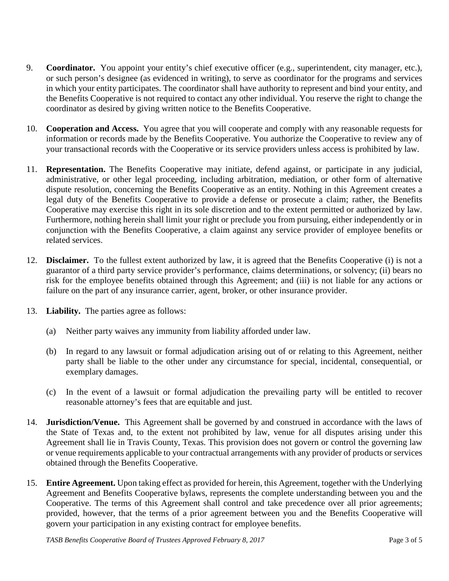- 9. **Coordinator.** You appoint your entity's chief executive officer (e.g., superintendent, city manager, etc.), or such person's designee (as evidenced in writing), to serve as coordinator for the programs and services in which your entity participates. The coordinator shall have authority to represent and bind your entity, and the Benefits Cooperative is not required to contact any other individual. You reserve the right to change the coordinator as desired by giving written notice to the Benefits Cooperative.
- 10. **Cooperation and Access.** You agree that you will cooperate and comply with any reasonable requests for information or records made by the Benefits Cooperative. You authorize the Cooperative to review any of your transactional records with the Cooperative or its service providers unless access is prohibited by law.
- 11. **Representation.** The Benefits Cooperative may initiate, defend against, or participate in any judicial, administrative, or other legal proceeding, including arbitration, mediation, or other form of alternative dispute resolution, concerning the Benefits Cooperative as an entity. Nothing in this Agreement creates a legal duty of the Benefits Cooperative to provide a defense or prosecute a claim; rather, the Benefits Cooperative may exercise this right in its sole discretion and to the extent permitted or authorized by law. Furthermore, nothing herein shall limit your right or preclude you from pursuing, either independently or in conjunction with the Benefits Cooperative, a claim against any service provider of employee benefits or related services.
- 12. **Disclaimer.** To the fullest extent authorized by law, it is agreed that the Benefits Cooperative (i) is not a guarantor of a third party service provider's performance, claims determinations, or solvency; (ii) bears no risk for the employee benefits obtained through this Agreement; and (iii) is not liable for any actions or failure on the part of any insurance carrier, agent, broker, or other insurance provider.
- 13. **Liability.** The parties agree as follows:
	- (a) Neither party waives any immunity from liability afforded under law.
	- (b) In regard to any lawsuit or formal adjudication arising out of or relating to this Agreement, neither party shall be liable to the other under any circumstance for special, incidental, consequential, or exemplary damages.
	- (c) In the event of a lawsuit or formal adjudication the prevailing party will be entitled to recover reasonable attorney's fees that are equitable and just.
- 14. **Jurisdiction/Venue.** This Agreement shall be governed by and construed in accordance with the laws of the State of Texas and, to the extent not prohibited by law, venue for all disputes arising under this Agreement shall lie in Travis County, Texas. This provision does not govern or control the governing law or venue requirements applicable to your contractual arrangements with any provider of products or services obtained through the Benefits Cooperative.
- 15. **Entire Agreement.** Upon taking effect as provided for herein, this Agreement, together with the Underlying Agreement and Benefits Cooperative bylaws, represents the complete understanding between you and the Cooperative. The terms of this Agreement shall control and take precedence over all prior agreements; provided, however, that the terms of a prior agreement between you and the Benefits Cooperative will govern your participation in any existing contract for employee benefits.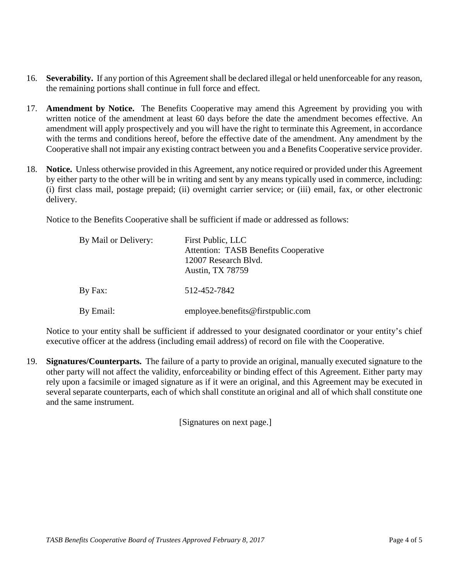- 16. **Severability.** If any portion of this Agreement shall be declared illegal or held unenforceable for any reason, the remaining portions shall continue in full force and effect.
- 17. **Amendment by Notice.** The Benefits Cooperative may amend this Agreement by providing you with written notice of the amendment at least 60 days before the date the amendment becomes effective. An amendment will apply prospectively and you will have the right to terminate this Agreement, in accordance with the terms and conditions hereof, before the effective date of the amendment. Any amendment by the Cooperative shall not impair any existing contract between you and a Benefits Cooperative service provider.
- 18. **Notice.** Unless otherwise provided in this Agreement, any notice required or provided under this Agreement by either party to the other will be in writing and sent by any means typically used in commerce, including: (i) first class mail, postage prepaid; (ii) overnight carrier service; or (iii) email, fax, or other electronic delivery.

Notice to the Benefits Cooperative shall be sufficient if made or addressed as follows:

| By Mail or Delivery: | First Public, LLC<br><b>Attention: TASB Benefits Cooperative</b><br>12007 Research Blvd.<br><b>Austin, TX 78759</b> |
|----------------------|---------------------------------------------------------------------------------------------------------------------|
| By Fax:              | 512-452-7842                                                                                                        |
| By Email:            | employee.benefits@firstpublic.com                                                                                   |

Notice to your entity shall be sufficient if addressed to your designated coordinator or your entity's chief executive officer at the address (including email address) of record on file with the Cooperative.

19. **Signatures/Counterparts.** The failure of a party to provide an original, manually executed signature to the other party will not affect the validity, enforceability or binding effect of this Agreement. Either party may rely upon a facsimile or imaged signature as if it were an original, and this Agreement may be executed in several separate counterparts, each of which shall constitute an original and all of which shall constitute one and the same instrument.

[Signatures on next page.]